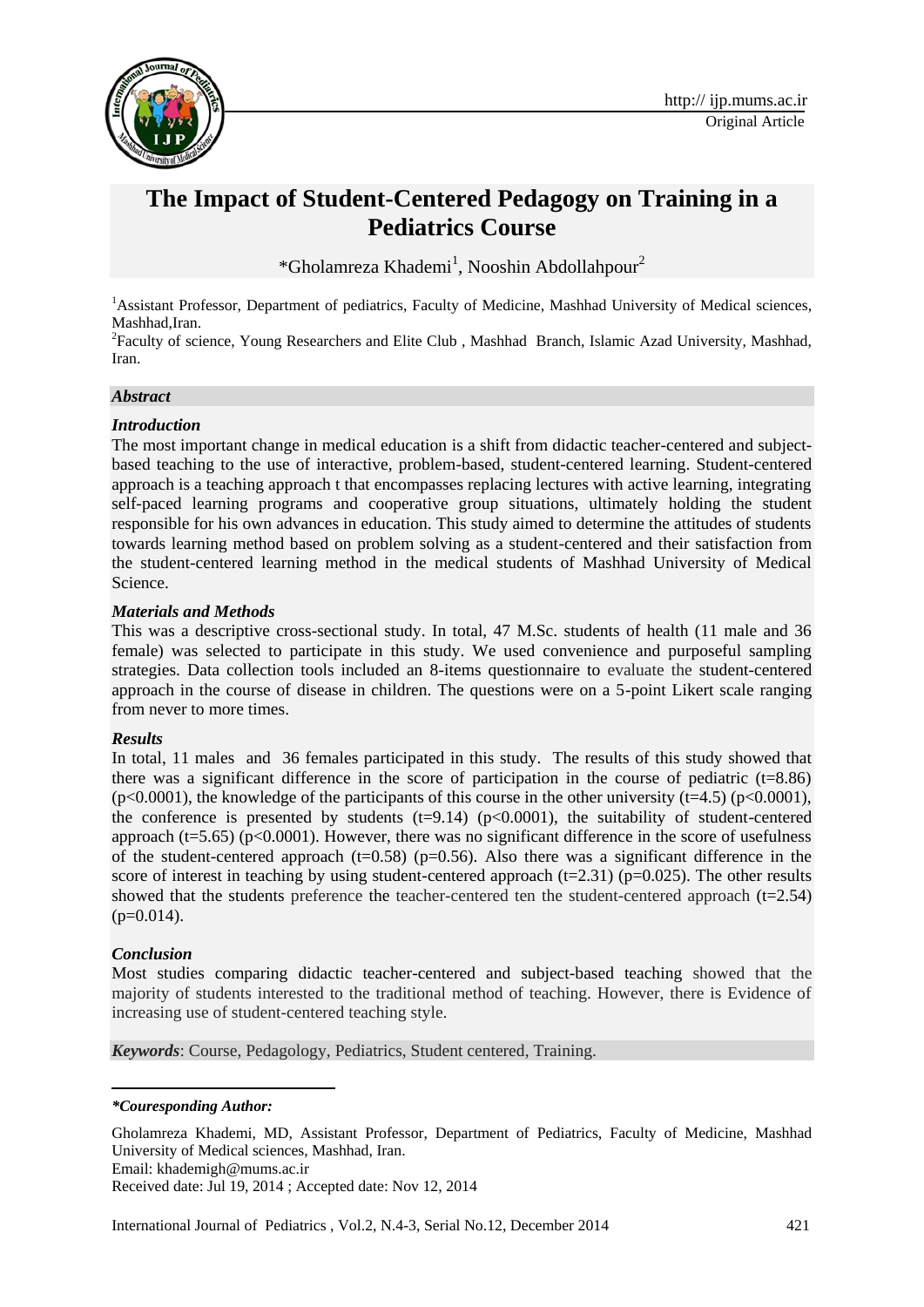

# **The Impact of Student-Centered Pedagogy on Training in a Pediatrics Course**

\*Gholamreza Khademi<sup>1</sup>, Nooshin Abdollahpour<sup>2</sup>

<sup>1</sup>Assistant Professor, Department of pediatrics, Faculty of Medicine, Mashhad University of Medical sciences, Mashhad,Iran.

<sup>2</sup>Faculty of science, Young Researchers and Elite Club, Mashhad Branch, Islamic Azad University, Mashhad, Iran.

#### *Abstract*

#### *Introduction*

The most important change in medical education is a shift from didactic teacher-centered and subjectbased teaching to the use of interactive, problem-based, student-centered learning. Student-centered approach is a teaching approach t that encompasses replacing lectures with active learning, integrating self-paced learning programs and cooperative group situations, ultimately holding the student responsible for his own advances in education. This study aimed to determine the attitudes of students towards learning method based on problem solving as a student-centered and their satisfaction from the student-centered learning method in the medical students of Mashhad University of Medical Science.

#### *Materials and Methods*

This was a descriptive cross-sectional study. In total, 47 M.Sc. students of health (11 male and 36 female) was selected to participate in this study. We used convenience and purposeful sampling strategies. Data collection tools included an 8-items questionnaire to evaluate the student-centered approach in the course of disease in children. The questions were on a 5-point Likert scale ranging from never to more times.

#### *Results*

In total, 11 males and 36 females participated in this study. The results of this study showed that there was a significant difference in the score of participation in the course of pediatric  $(t=8.86)$  $(p<0.0001)$ , the knowledge of the participants of this course in the other university (t=4.5) (p<0.0001), the conference is presented by students  $(t=9.14)$  ( $p<0.0001$ ), the suitability of student-centered approach ( $t=5.65$ ) ( $p<0.0001$ ). However, there was no significant difference in the score of usefulness of the student-centered approach ( $t=0.58$ ) ( $p=0.56$ ). Also there was a significant difference in the score of interest in teaching by using student-centered approach ( $t=2.31$ ) ( $p=0.025$ ). The other results showed that the students preference the teacher-centered ten the student-centered approach (t=2.54)  $(p=0.014)$ .

## *Conclusion*

1

Most studies comparing didactic teacher-centered and subject-based teaching showed that the majority of students interested to the traditional method of teaching. However, there is Evidence of increasing use of student-centered teaching style.

*Keywords*: Course, Pedagology, Pediatrics, Student centered, Training.

#### *\*Couresponding Author:*

Gholamreza Khademi, MD, Assistant Professor, Department of Pediatrics, Faculty of Medicine, Mashhad University of Medical sciences, Mashhad, Iran.

Email: [khademigh@mums.ac.ir](mailto:khademigh@mums.ac.ir)

Received date: Jul 19, 2014 ; Accepted date: Nov 12, 2014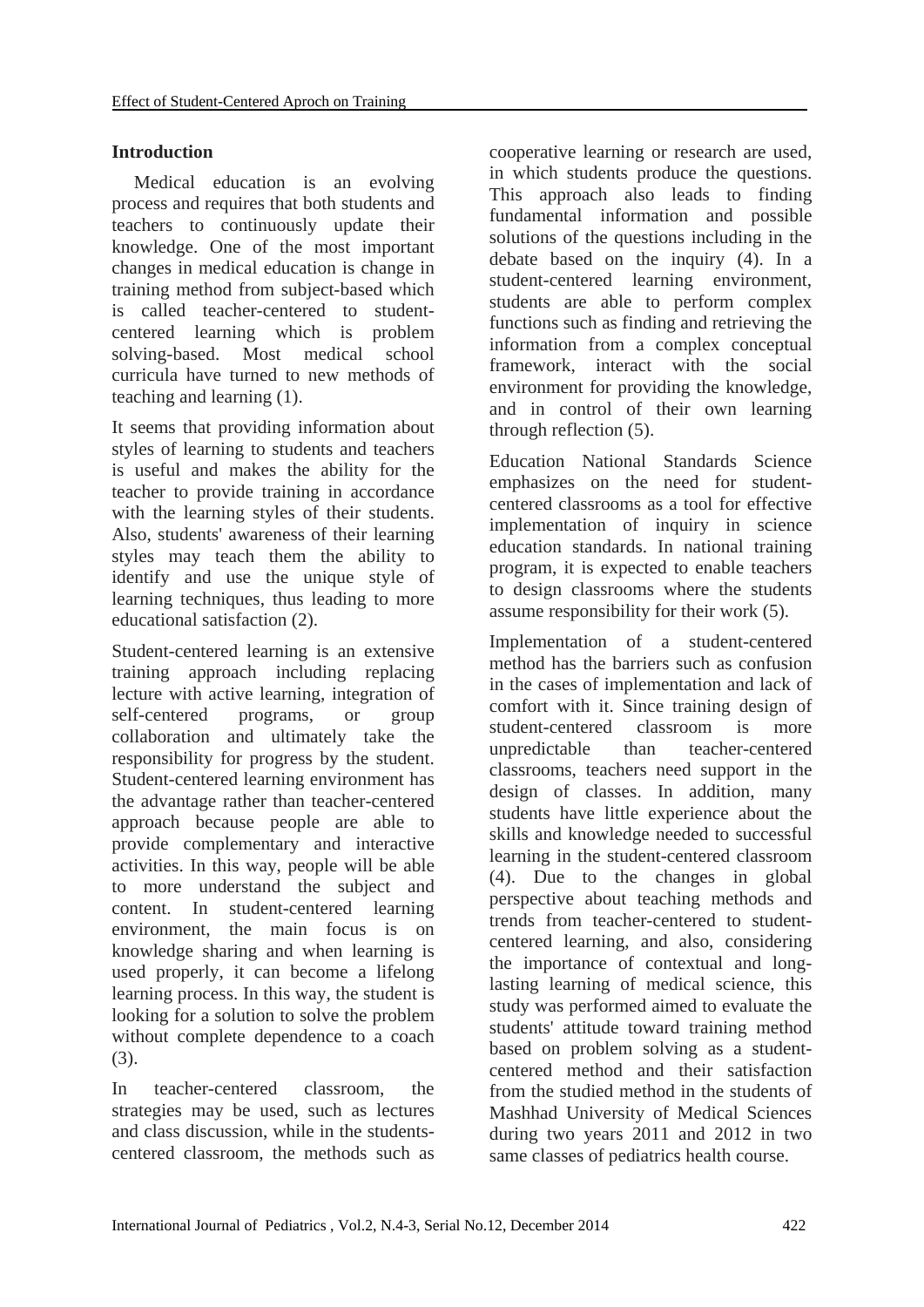# **Introduction**

Medical education is an evolving process and requires that both students and teachers to continuously update their knowledge. One of the most important changes in medical education is change in training method from subject-based which is called teacher-centered to studentcentered learning which is problem solving-based. Most medical school curricula have turned to new methods of teaching and learning (1).

It seems that providing information about styles of learning to students and teachers is useful and makes the ability for the teacher to provide training in accordance with the learning styles of their students. Also, students' awareness of their learning styles may teach them the ability to identify and use the unique style of learning techniques, thus leading to more educational satisfaction (2).

Student-centered learning is an extensive training approach including replacing lecture with active learning, integration of self-centered programs, or group collaboration and ultimately take the responsibility for progress by the student. Student-centered learning environment has the advantage rather than teacher-centered approach because people are able to provide complementary and interactive activities. In this way, people will be able to more understand the subject and content. In student-centered learning environment, the main focus is on knowledge sharing and when learning is used properly, it can become a lifelong learning process. In this way, the student is looking for a solution to solve the problem without complete dependence to a coach (3).

In teacher-centered classroom, the strategies may be used, such as lectures and class discussion, while in the studentscentered classroom, the methods such as

cooperative learning or research are used, in which students produce the questions. This approach also leads to finding fundamental information and possible solutions of the questions including in the debate based on the inquiry (4). In a student-centered learning environment, students are able to perform complex functions such as finding and retrieving the information from a complex conceptual framework, interact with the social environment for providing the knowledge, and in control of their own learning through reflection (5).

Education National Standards Science emphasizes on the need for studentcentered classrooms as a tool for effective implementation of inquiry in science education standards. In national training program, it is expected to enable teachers to design classrooms where the students assume responsibility for their work (5).

Implementation of a student-centered method has the barriers such as confusion in the cases of implementation and lack of comfort with it. Since training design of student-centered classroom is more unpredictable than teacher-centered classrooms, teachers need support in the design of classes. In addition, many students have little experience about the skills and knowledge needed to successful learning in the student-centered classroom (4). Due to the changes in global perspective about teaching methods and trends from teacher-centered to studentcentered learning, and also, considering the importance of contextual and longlasting learning of medical science, this study was performed aimed to evaluate the students' attitude toward training method based on problem solving as a studentcentered method and their satisfaction from the studied method in the students of Mashhad University of Medical Sciences during two years 2011 and 2012 in two same classes of pediatrics health course.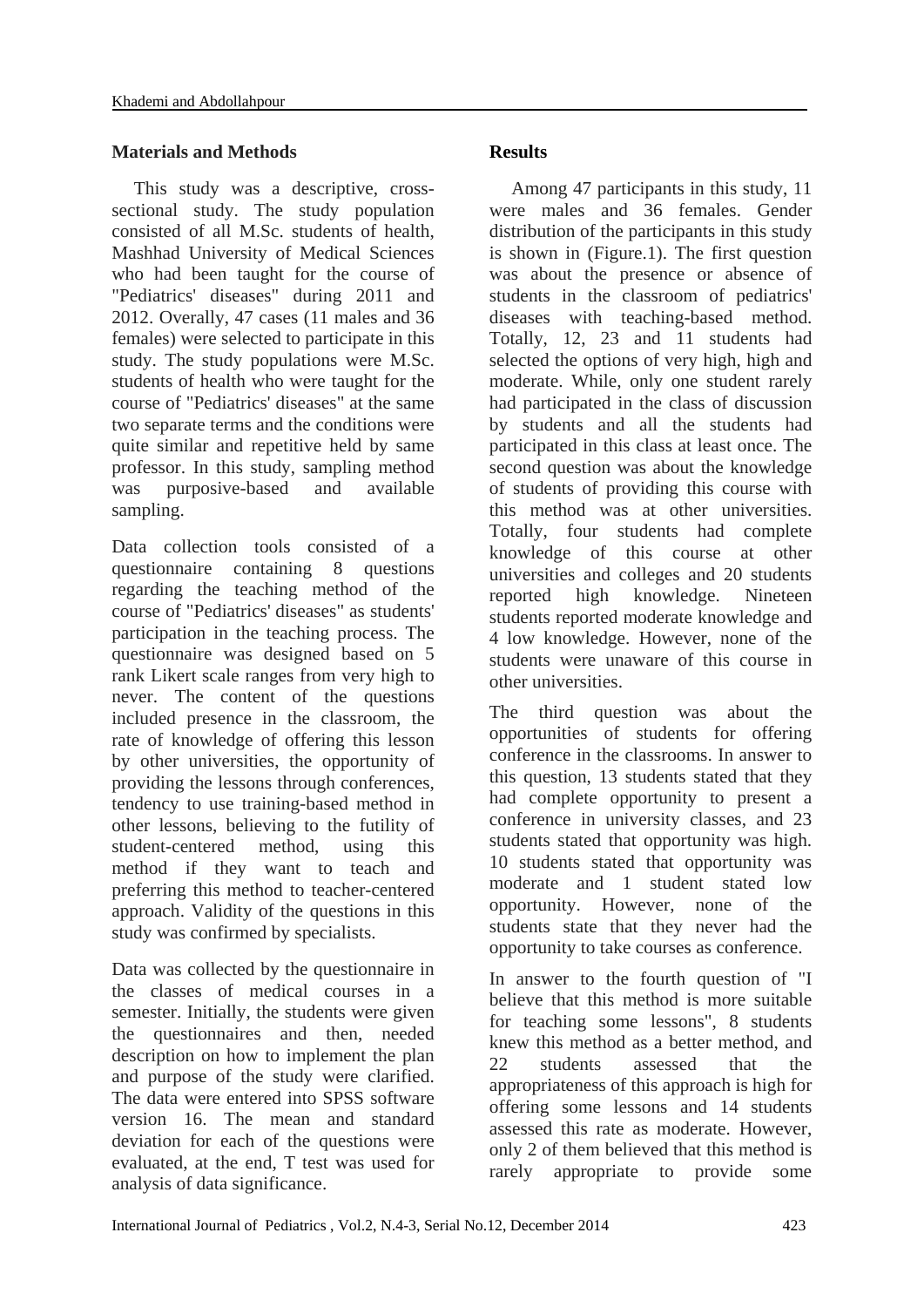## **Materials and Methods**

This study was a descriptive, crosssectional study. The study population consisted of all M.Sc. students of health, Mashhad University of Medical Sciences who had been taught for the course of "Pediatrics' diseases" during 2011 and 2012. Overally, 47 cases (11 males and 36 females) were selected to participate in this study. The study populations were M.Sc. students of health who were taught for the course of "Pediatrics' diseases" at the same two separate terms and the conditions were quite similar and repetitive held by same professor. In this study, sampling method was purposive-based and available sampling.

Data collection tools consisted of a questionnaire containing 8 questions regarding the teaching method of the course of "Pediatrics' diseases" as students' participation in the teaching process. The questionnaire was designed based on 5 rank Likert scale ranges from very high to never. The content of the questions included presence in the classroom, the rate of knowledge of offering this lesson by other universities, the opportunity of providing the lessons through conferences, tendency to use training-based method in other lessons, believing to the futility of student-centered method, using this method if they want to teach and preferring this method to teacher-centered approach. Validity of the questions in this study was confirmed by specialists.

Data was collected by the questionnaire in the classes of medical courses in a semester. Initially, the students were given the questionnaires and then, needed description on how to implement the plan and purpose of the study were clarified. The data were entered into SPSS software version 16. The mean and standard deviation for each of the questions were evaluated, at the end, T test was used for analysis of data significance.

# **Results**

Among 47 participants in this study, 11 were males and 36 females. Gender distribution of the participants in this study is shown in (Figure.1). The first question was about the presence or absence of students in the classroom of pediatrics' diseases with teaching-based method. Totally, 12, 23 and 11 students had selected the options of very high, high and moderate. While, only one student rarely had participated in the class of discussion by students and all the students had participated in this class at least once. The second question was about the knowledge of students of providing this course with this method was at other universities. Totally, four students had complete knowledge of this course at other universities and colleges and 20 students reported high knowledge. Nineteen students reported moderate knowledge and 4 low knowledge. However, none of the students were unaware of this course in other universities.

The third question was about the opportunities of students for offering conference in the classrooms. In answer to this question, 13 students stated that they had complete opportunity to present a conference in university classes, and 23 students stated that opportunity was high. 10 students stated that opportunity was moderate and 1 student stated low opportunity. However, none of the students state that they never had the opportunity to take courses as conference.

In answer to the fourth question of "I believe that this method is more suitable for teaching some lessons", 8 students knew this method as a better method, and 22 students assessed that the appropriateness of this approach is high for offering some lessons and 14 students assessed this rate as moderate. However, only 2 of them believed that this method is rarely appropriate to provide some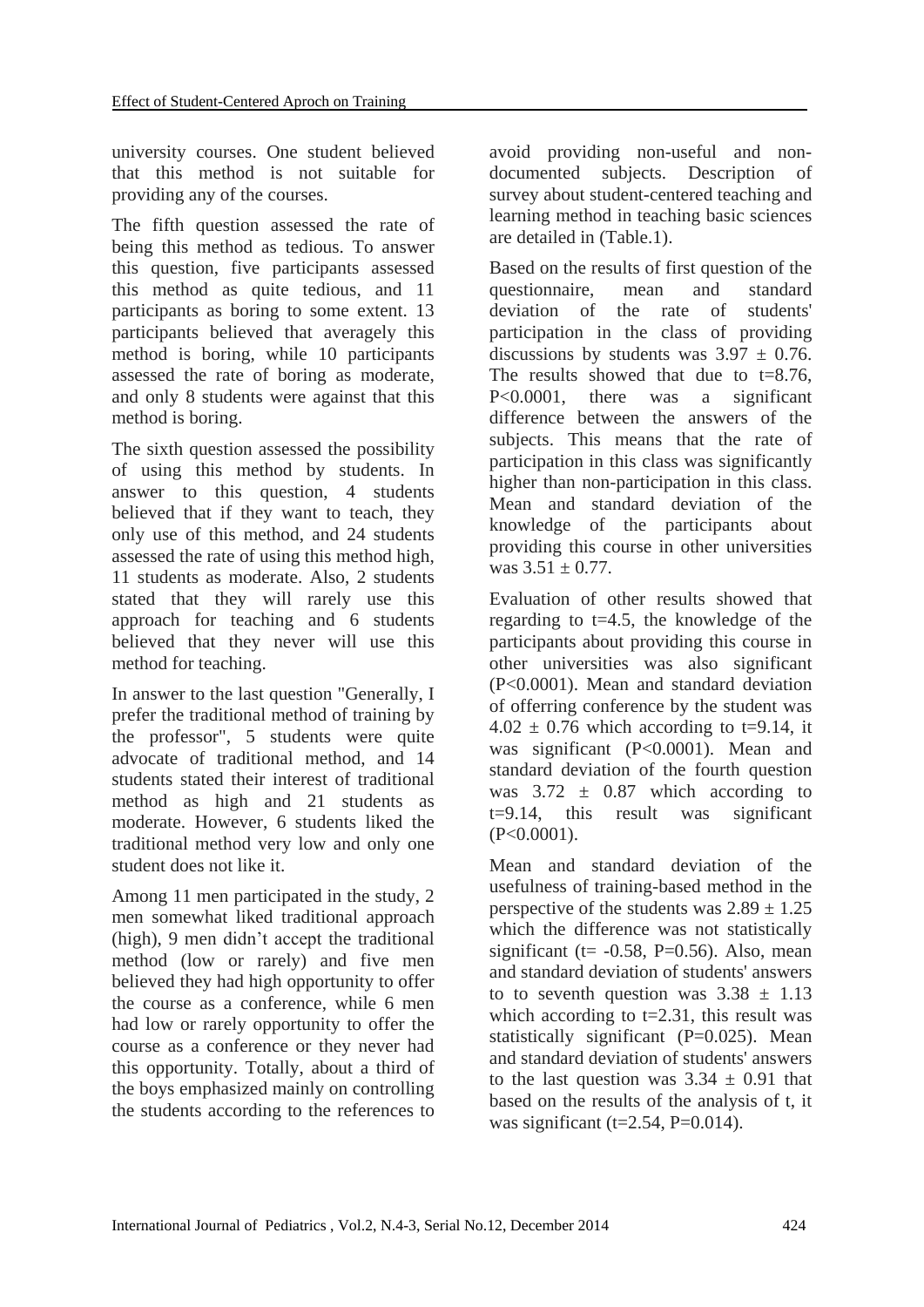university courses. One student believed that this method is not suitable for providing any of the courses.

The fifth question assessed the rate of being this method as tedious. To answer this question, five participants assessed this method as quite tedious, and 11 participants as boring to some extent. 13 participants believed that averagely this method is boring, while 10 participants assessed the rate of boring as moderate, and only 8 students were against that this method is boring.

The sixth question assessed the possibility of using this method by students. In answer to this question, 4 students believed that if they want to teach, they only use of this method, and 24 students assessed the rate of using this method high, 11 students as moderate. Also, 2 students stated that they will rarely use this approach for teaching and 6 students believed that they never will use this method for teaching.

In answer to the last question "Generally, I prefer the traditional method of training by the professor", 5 students were quite advocate of traditional method, and 14 students stated their interest of traditional method as high and 21 students as moderate. However, 6 students liked the traditional method very low and only one student does not like it.

Among 11 men participated in the study, 2 men somewhat liked traditional approach (high), 9 men didn't accept the traditional method (low or rarely) and five men believed they had high opportunity to offer the course as a conference, while 6 men had low or rarely opportunity to offer the course as a conference or they never had this opportunity. Totally, about a third of the boys emphasized mainly on controlling the students according to the references to

avoid providing non-useful and nondocumented subjects. Description of survey about student-centered teaching and learning method in teaching basic sciences are detailed in (Table.1).

Based on the results of first question of the questionnaire, mean and standard deviation of the rate of students' participation in the class of providing discussions by students was  $3.97 \pm 0.76$ . The results showed that due to  $t=8.76$ , P<0.0001, there was a significant difference between the answers of the subjects. This means that the rate of participation in this class was significantly higher than non-participation in this class. Mean and standard deviation of the knowledge of the participants about providing this course in other universities was  $3.51 + 0.77$ .

Evaluation of other results showed that regarding to  $t=4.5$ , the knowledge of the participants about providing this course in other universities was also significant (P<0.0001). Mean and standard deviation of offerring conference by the student was  $4.02 \pm 0.76$  which according to t=9.14, it was significant (P<0.0001). Mean and standard deviation of the fourth question was  $3.72 \pm 0.87$  which according to  $t=9.14$ , this result was significant (P<0.0001).

Mean and standard deviation of the usefulness of training-based method in the perspective of the students was  $2.89 \pm 1.25$ which the difference was not statistically significant ( $t = -0.58$ , P=0.56). Also, mean and standard deviation of students' answers to to seventh question was  $3.38 \pm 1.13$ which according to  $t=2.31$ , this result was statistically significant (P=0.025). Mean and standard deviation of students' answers to the last question was  $3.34 \pm 0.91$  that based on the results of the analysis of t, it was significant ( $t=2.54$ , P=0.014).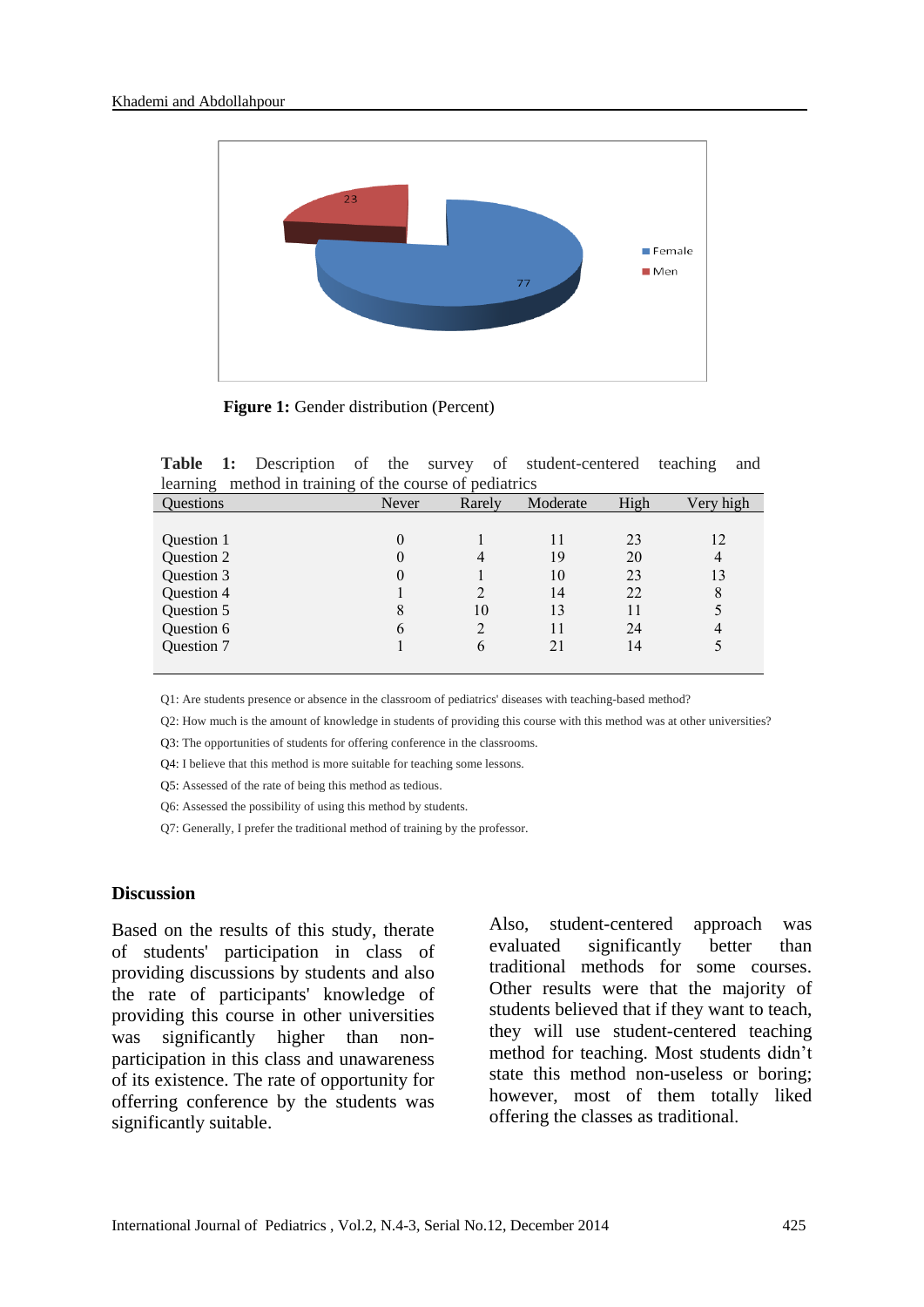

**Figure 1:** Gender distribution (Percent)

**Table 1:** Description of the survey of student-centered teaching and learning method in training of the course of pediatrics

| <b>Ouestions</b> | Never | Rarely        | Moderate | High | Very high |
|------------------|-------|---------------|----------|------|-----------|
|                  |       |               |          |      |           |
| Question 1       | 0     |               |          | 23   | 12        |
| Question 2       | 0     |               | 19       | 20   |           |
| Question 3       | O     |               | 10       | 23   | 13        |
| Question 4       |       |               | 14       | 22   | 8         |
| Question 5       | 8     | 10            | 13       |      |           |
| Question 6       | 6     |               |          | 24   |           |
| Question 7       |       | $\mathfrak b$ | 21       | 14   |           |
|                  |       |               |          |      |           |

Q1: Are students presence or absence in the classroom of pediatrics' diseases with teaching-based method?

Q2: How much is the amount of knowledge in students of providing this course with this method was at other universities?

Q3: The opportunities of students for offering conference in the classrooms.

Q4: I believe that this method is more suitable for teaching some lessons.

Q5: Assessed of the rate of being this method as tedious.

Q6: Assessed the possibility of using this method by students.

Q7: Generally, I prefer the traditional method of training by the professor.

#### **Discussion**

Based on the results of this study, therate of students' participation in class of providing discussions by students and also the rate of participants' knowledge of providing this course in other universities was significantly higher than nonparticipation in this class and unawareness of its existence. The rate of opportunity for offerring conference by the students was significantly suitable.

Also, student-centered approach was evaluated significantly better than traditional methods for some courses. Other results were that the majority of students believed that if they want to teach, they will use student-centered teaching method for teaching. Most students didn't state this method non-useless or boring; however, most of them totally liked offering the classes as traditional.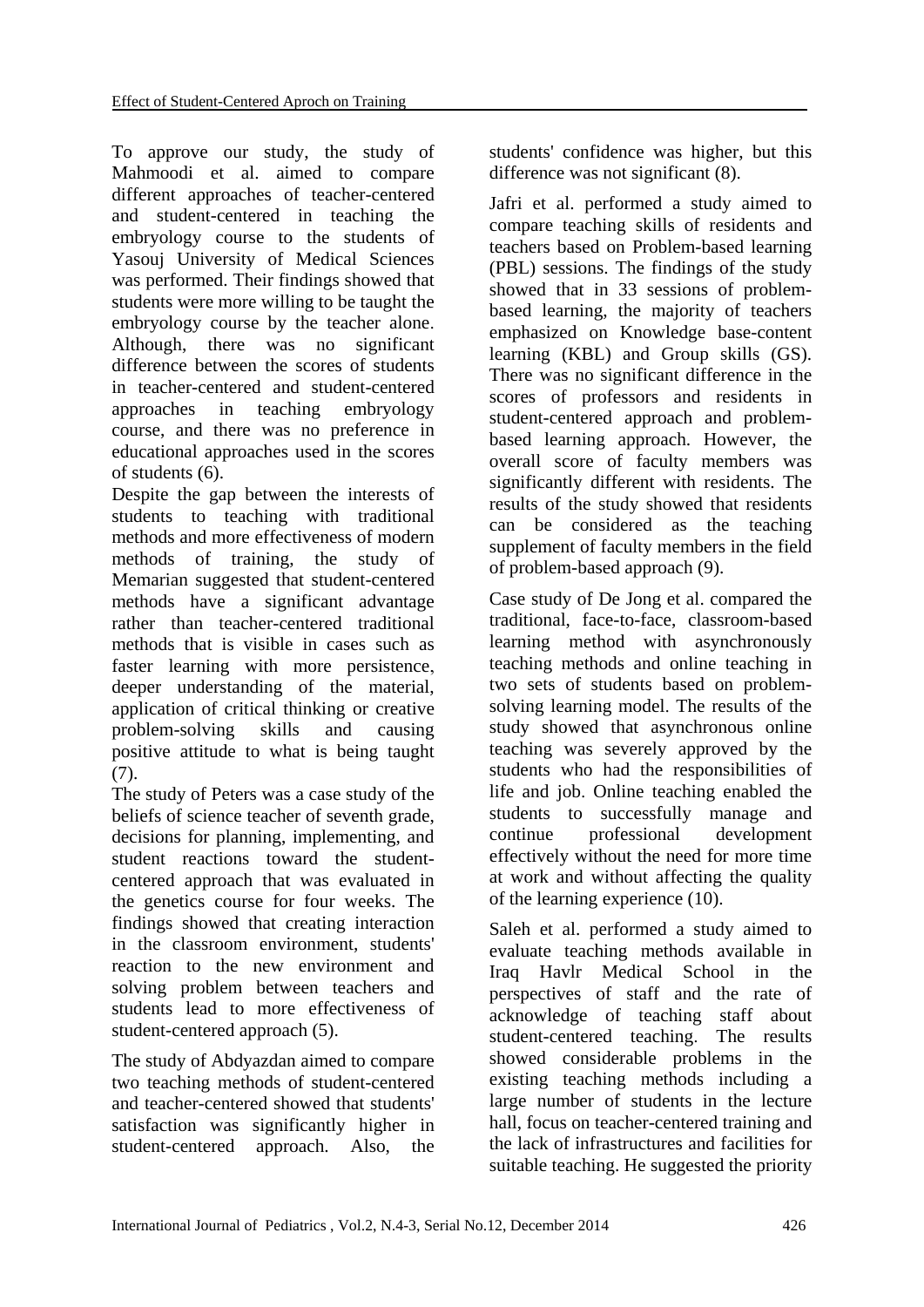To approve our study, the study of Mahmoodi et al. aimed to compare different approaches of teacher-centered and student-centered in teaching the embryology course to the students of Yasouj University of Medical Sciences was performed. Their findings showed that students were more willing to be taught the embryology course by the teacher alone. Although, there was no significant difference between the scores of students in teacher-centered and student-centered approaches in teaching embryology course, and there was no preference in educational approaches used in the scores of students (6).

Despite the gap between the interests of students to teaching with traditional methods and more effectiveness of modern methods of training, the study of Memarian suggested that student-centered methods have a significant advantage rather than teacher-centered traditional methods that is visible in cases such as faster learning with more persistence, deeper understanding of the material, application of critical thinking or creative problem-solving skills and causing positive attitude to what is being taught (7).

The study of Peters was a case study of the beliefs of science teacher of seventh grade, decisions for planning, implementing, and student reactions toward the studentcentered approach that was evaluated in the genetics course for four weeks. The findings showed that creating interaction in the classroom environment, students' reaction to the new environment and solving problem between teachers and students lead to more effectiveness of student-centered approach (5).

The study of Abdyazdan aimed to compare two teaching methods of student-centered and teacher-centered showed that students' satisfaction was significantly higher in student-centered approach. Also, the

students' confidence was higher, but this difference was not significant (8).

Jafri et al. performed a study aimed to compare teaching skills of residents and teachers based on Problem-based learning (PBL) sessions. The findings of the study showed that in 33 sessions of problembased learning, the majority of teachers emphasized on Knowledge base-content learning (KBL) and Group skills (GS). There was no significant difference in the scores of professors and residents in student-centered approach and problembased learning approach. However, the overall score of faculty members was significantly different with residents. The results of the study showed that residents can be considered as the teaching supplement of faculty members in the field of problem-based approach (9).

Case study of De Jong et al. compared the traditional, face-to-face, classroom-based learning method with asynchronously teaching methods and online teaching in two sets of students based on problemsolving learning model. The results of the study showed that asynchronous online teaching was severely approved by the students who had the responsibilities of life and job. Online teaching enabled the students to successfully manage and continue professional development effectively without the need for more time at work and without affecting the quality of the learning experience (10).

Saleh et al. performed a study aimed to evaluate teaching methods available in Iraq Havlr Medical School in the perspectives of staff and the rate of acknowledge of teaching staff about student-centered teaching. The results showed considerable problems in the existing teaching methods including a large number of students in the lecture hall, focus on teacher-centered training and the lack of infrastructures and facilities for suitable teaching. He suggested the priority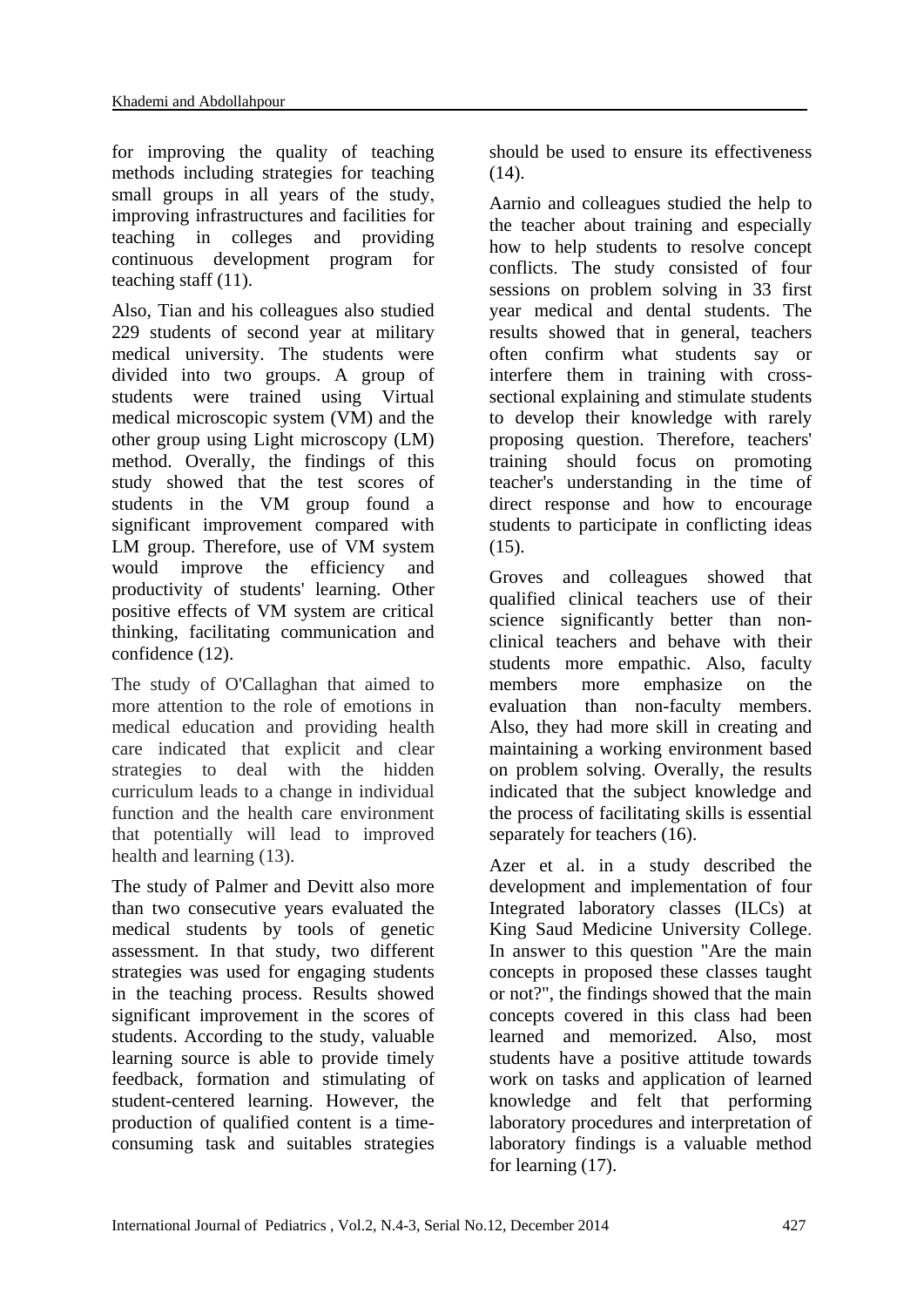for improving the quality of teaching methods including strategies for teaching small groups in all years of the study, improving infrastructures and facilities for teaching in colleges and providing continuous development program for teaching staff (11).

Also, Tian and his colleagues also studied 229 students of second year at military medical university. The students were divided into two groups. A group of students were trained using Virtual medical microscopic system (VM) and the other group using Light microscopy (LM) method. Overally, the findings of this study showed that the test scores of students in the VM group found a significant improvement compared with LM group. Therefore, use of VM system would improve the efficiency and productivity of students' learning. Other positive effects of VM system are critical thinking, facilitating communication and confidence (12).

The study of O'Callaghan that aimed to more attention to the role of emotions in medical education and providing health care indicated that explicit and clear strategies to deal with the hidden curriculum leads to a change in individual function and the health care environment that potentially will lead to improved health and learning (13).

The study of Palmer and Devitt also more than two consecutive years evaluated the medical students by tools of genetic assessment. In that study, two different strategies was used for engaging students in the teaching process. Results showed significant improvement in the scores of students. According to the study, valuable learning source is able to provide timely feedback, formation and stimulating of student-centered learning. However, the production of qualified content is a timeconsuming task and suitables strategies

should be used to ensure its effectiveness (14).

Aarnio and colleagues studied the help to the teacher about training and especially how to help students to resolve concept conflicts. The study consisted of four sessions on problem solving in 33 first year medical and dental students. The results showed that in general, teachers often confirm what students say or interfere them in training with crosssectional explaining and stimulate students to develop their knowledge with rarely proposing question. Therefore, teachers' training should focus on promoting teacher's understanding in the time of direct response and how to encourage students to participate in conflicting ideas (15).

Groves and colleagues showed that qualified clinical teachers use of their science significantly better than nonclinical teachers and behave with their students more empathic. Also, faculty members more emphasize on the evaluation than non-faculty members. Also, they had more skill in creating and maintaining a working environment based on problem solving. Overally, the results indicated that the subject knowledge and the process of facilitating skills is essential separately for teachers (16).

Azer et al. in a study described the development and implementation of four Integrated laboratory classes (ILCs) at King Saud Medicine University College. In answer to this question "Are the main concepts in proposed these classes taught or not?", the findings showed that the main concepts covered in this class had been learned and memorized. Also, most students have a positive attitude towards work on tasks and application of learned knowledge and felt that performing laboratory procedures and interpretation of laboratory findings is a valuable method for learning (17).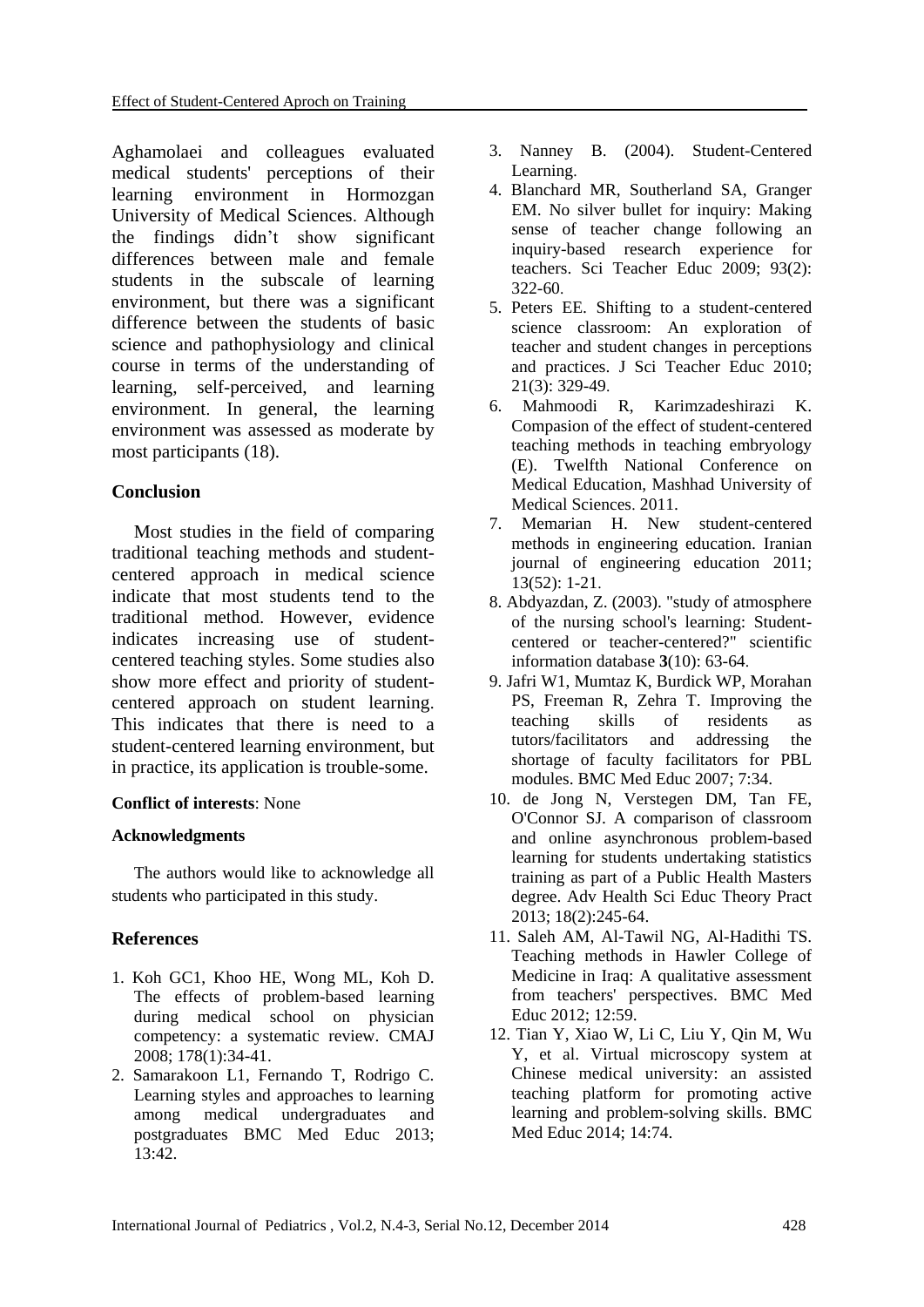Aghamolaei and colleagues evaluated medical students' perceptions of their learning environment in Hormozgan University of Medical Sciences. Although the findings didn't show significant differences between male and female students in the subscale of learning environment, but there was a significant difference between the students of basic science and pathophysiology and clinical course in terms of the understanding of learning, self-perceived, and learning environment. In general, the learning environment was assessed as moderate by most participants (18).

# **Conclusion**

Most studies in the field of comparing traditional teaching methods and studentcentered approach in medical science indicate that most students tend to the traditional method. However, evidence indicates increasing use of studentcentered teaching styles. Some studies also show more effect and priority of studentcentered approach on student learning. This indicates that there is need to a student-centered learning environment, but in practice, its application is trouble-some.

# **Conflict of interests**: None

## **Acknowledgments**

The authors would like to acknowledge all students who participated in this study.

# **References**

- 1. Koh GC1, Khoo HE, Wong ML, Koh D. The effects of problem-based learning during medical school on physician competency: a systematic review. CMAJ 2008; 178(1):34-41.
- 2. Samarakoon L1, Fernando T, Rodrigo C. Learning styles and approaches to learning among medical undergraduates and postgraduates BMC Med Educ 2013; 13:42.
- 3. Nanney B. (2004). Student-Centered Learning.
- 4. Blanchard MR, Southerland SA, Granger EM. No silver bullet for inquiry: Making sense of teacher change following an inquiry-based research experience for teachers. Sci Teacher Educ 2009; 93(2): 322-60.
- 5. Peters EE. Shifting to a student-centered science classroom: An exploration of teacher and student changes in perceptions and practices. J Sci Teacher Educ 2010; 21(3): 329-49.
- 6. Mahmoodi R, Karimzadeshirazi K. Compasion of the effect of student-centered teaching methods in teaching embryology (E). Twelfth National Conference on Medical Education, Mashhad University of Medical Sciences. 2011.
- 7. Memarian H. New student-centered methods in engineering education. Iranian journal of engineering education 2011; 13(52): 1-21.
- 8. Abdyazdan, Z. (2003). "study of atmosphere of the nursing school's learning: Studentcentered or teacher-centered?" scientific information database **3**(10): 63-64.
- 9. Jafri W1, Mumtaz K, Burdick WP, Morahan PS, Freeman R, Zehra T. Improving the teaching skills of residents as<br>tutors/facilitators and addressing the tutors/facilitators and addressing the shortage of faculty facilitators for PBL modules. BMC Med Educ 2007; 7:34.
- 10. de Jong N, Verstegen DM, Tan FE, O'Connor SJ. A comparison of classroom and online asynchronous problem-based learning for students undertaking statistics training as part of a Public Health Masters degree. Adv Health Sci Educ Theory Pract 2013; 18(2):245-64.
- 11. Saleh AM, Al-Tawil NG, Al-Hadithi TS. Teaching methods in Hawler College of Medicine in Iraq: A qualitative assessment from teachers' perspectives. BMC Med Educ 2012; 12:59.
- 12. Tian Y, Xiao W, Li C, Liu Y, Qin M, Wu Y, et al. Virtual microscopy system at Chinese medical university: an assisted teaching platform for promoting active learning and problem-solving skills. BMC Med Educ 2014; 14:74.